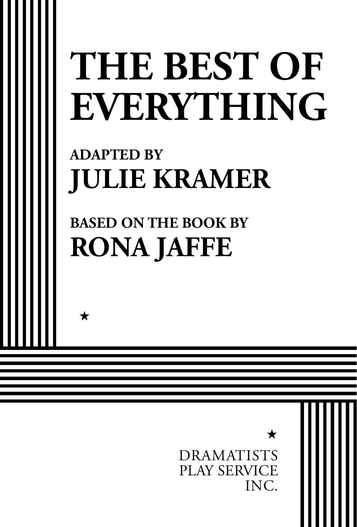# **THE BEST OF EVERYTHING**

# **ADAPTED BY JULIE KRAMER**

# **BASED ON THE BOOK BY RONA JAFFE**

 $\bigstar$ 

DRAMATISTS PLAY SERVICE INC.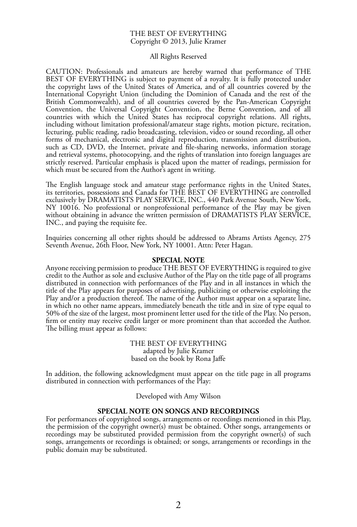#### THE BEST OF EVERYTHING Copyright © 2013, Julie Kramer

#### All Rights Reserved

CAUTION: Professionals and amateurs are hereby warned that performance of THE BEST OF EVERYTHING is subject to payment of a royalty. It is fully protected under the copyright laws of the United States of America, and of all countries covered by the International Copyright Union (including the Dominion of Canada and the rest of the British Commonwealth), and of all countries covered by the Pan-American Copyright Convention, the Universal Copyright Convention, the Berne Convention, and of all countries with which the United States has reciprocal copyright relations. All rights, including without limitation professional/amateur stage rights, motion picture, recitation, lecturing, public reading, radio broadcasting, television, video or sound recording, all other forms of mechanical, electronic and digital reproduction, transmission and distribution, such as CD, DVD, the Internet, private and file-sharing networks, information storage and retrieval systems, photocopying, and the rights of translation into foreign languages are strictly reserved. Particular emphasis is placed upon the matter of readings, permission for which must be secured from the Author's agent in writing.

The English language stock and amateur stage performance rights in the United States, its territories, possessions and Canada for THE BEST OF EVERYTHING are controlled exclusively by DRAMATISTS PLAY SERVICE, INC., 440 Park Avenue South, New York, NY 10016. No professional or nonprofessional performance of the Play may be given without obtaining in advance the written permission of DRAMATISTS PLAY SERVICE, INC., and paying the requisite fee.

Inquiries concerning all other rights should be addressed to Abrams Artists Agency, 275 Seventh Avenue, 26th Floor, New York, NY 10001. Attn: Peter Hagan.

#### **SPECIAL NOTE**

Anyone receiving permission to produce THE BEST OF EVERYTHING is required to give credit to the Author as sole and exclusive Author of the Play on the title page of all programs distributed in connection with performances of the Play and in all instances in which the title of the Play appears for purposes of advertising, publicizing or otherwise exploiting the Play and/or a production thereof. The name of the Author must appear on a separate line, in which no other name appears, immediately beneath the title and in size of type equal to 50% of the size of the largest, most prominent letter used for the title of the Play. No person, firm or entity may receive credit larger or more prominent than that accorded the Author. The billing must appear as follows:

> THE BEST OF EVERYTHING adapted by Julie Kramer based on the book by Rona Jaffe

In addition, the following acknowledgment must appear on the title page in all programs distributed in connection with performances of the Play:

Developed with Amy Wilson

#### **SPECIAL NOTE ON SONGS AND RECORDINGS**

For performances of copyrighted songs, arrangements or recordings mentioned in this Play, the permission of the copyright owner(s) must be obtained. Other songs, arrangements or recordings may be substituted provided permission from the copyright owner(s) of such songs, arrangements or recordings is obtained; or songs, arrangements or recordings in the public domain may be substituted.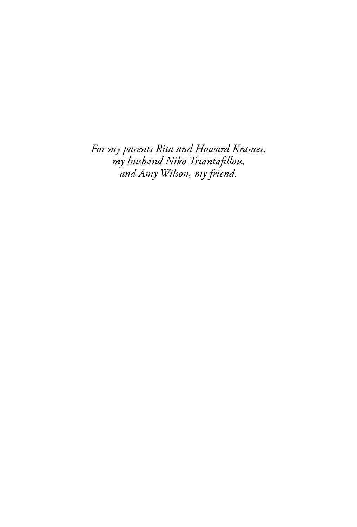*For my parents Rita and Howard Kramer, my husband Niko Triantafillou, and Amy Wilson, my friend.*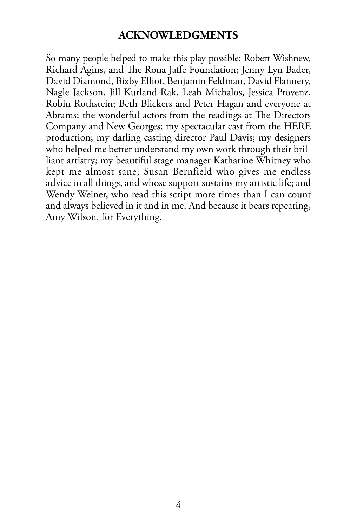#### **ACKNOWLEDGMENTS**

So many people helped to make this play possible: Robert Wishnew, Richard Agins, and The Rona Jaffe Foundation; Jenny Lyn Bader, David Diamond, Bixby Elliot, Benjamin Feldman, David Flannery, Nagle Jackson, Jill Kurland-Rak, Leah Michalos, Jessica Provenz, Robin Rothstein; Beth Blickers and Peter Hagan and everyone at Abrams; the wonderful actors from the readings at The Directors Company and New Georges; my spectacular cast from the HERE production; my darling casting director Paul Davis; my designers who helped me better understand my own work through their brilliant artistry; my beautiful stage manager Katharine Whitney who kept me almost sane; Susan Bernfield who gives me endless advice in all things, and whose support sustains my artistic life; and Wendy Weiner, who read this script more times than I can count and always believed in it and in me. And because it bears repeating, Amy Wilson, for Everything.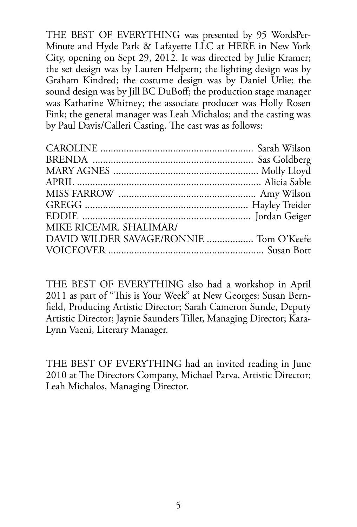THE BEST OF EVERYTHING was presented by 95 WordsPer-Minute and Hyde Park & Lafayette LLC at HERE in New York City, opening on Sept 29, 2012. It was directed by Julie Kramer; the set design was by Lauren Helpern; the lighting design was by Graham Kindred; the costume design was by Daniel Urlie; the sound design was by Jill BC DuBoff; the production stage manager was Katharine Whitney; the associate producer was Holly Rosen Fink; the general manager was Leah Michalos; and the casting was by Paul Davis/Calleri Casting. The cast was as follows:

| MIKE RICE/MR. SHALIMAR/                 |  |
|-----------------------------------------|--|
| DAVID WILDER SAVAGE/RONNIE  Tom O'Keefe |  |
|                                         |  |
|                                         |  |

THE BEST OF EVERYTHING also had a workshop in April 2011 as part of "This is Your Week" at New Georges: Susan Bernfield, Producing Artistic Director; Sarah Cameron Sunde, Deputy Artistic Director; Jaynie Saunders Tiller, Managing Director; Kara-Lynn Vaeni, Literary Manager.

THE BEST OF EVERYTHING had an invited reading in June 2010 at The Directors Company, Michael Parva, Artistic Director; Leah Michalos, Managing Director.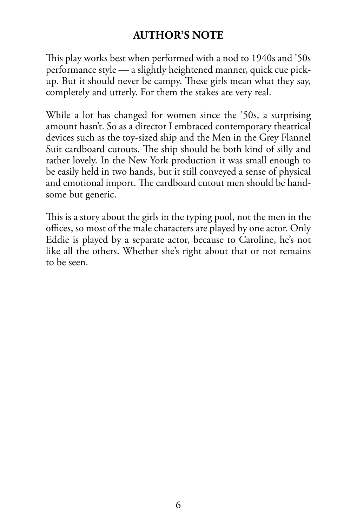### **AUTHOR'S NOTE**

This play works best when performed with a nod to 1940s and '50s performance style — a slightly heightened manner, quick cue pickup. But it should never be campy. These girls mean what they say, completely and utterly. For them the stakes are very real.

While a lot has changed for women since the '50s, a surprising amount hasn't. So as a director I embraced contemporary theatrical devices such as the toy-sized ship and the Men in the Grey Flannel Suit cardboard cutouts. The ship should be both kind of silly and rather lovely. In the New York production it was small enough to be easily held in two hands, but it still conveyed a sense of physical and emotional import. The cardboard cutout men should be handsome but generic.

This is a story about the girls in the typing pool, not the men in the offices, so most of the male characters are played by one actor. Only Eddie is played by a separate actor, because to Caroline, he's not like all the others. Whether she's right about that or not remains to be seen.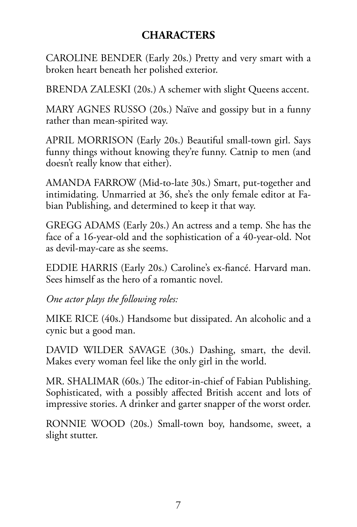### **CHARACTERS**

CAROLINE BENDER (Early 20s.) Pretty and very smart with a broken heart beneath her polished exterior.

BRENDA ZALESKI (20s.) A schemer with slight Queens accent.

MARY AGNES RUSSO (20s.) Naïve and gossipy but in a funny rather than mean-spirited way.

APRIL MORRISON (Early 20s.) Beautiful small-town girl. Says funny things without knowing they're funny. Catnip to men (and doesn't really know that either).

AMANDA FARROW (Mid-to-late 30s.) Smart, put-together and intimidating. Unmarried at 36, she's the only female editor at Fabian Publishing, and determined to keep it that way.

GREGG ADAMS (Early 20s.) An actress and a temp. She has the face of a 16-year-old and the sophistication of a 40-year-old. Not as devil-may-care as she seems.

EDDIE HARRIS (Early 20s.) Caroline's ex-fiancé. Harvard man. Sees himself as the hero of a romantic novel.

*One actor plays the following roles:*

MIKE RICE (40s.) Handsome but dissipated. An alcoholic and a cynic but a good man.

DAVID WILDER SAVAGE (30s.) Dashing, smart, the devil. Makes every woman feel like the only girl in the world.

MR. SHALIMAR (60s.) The editor-in-chief of Fabian Publishing. Sophisticated, with a possibly affected British accent and lots of impressive stories. A drinker and garter snapper of the worst order.

RONNIE WOOD (20s.) Small-town boy, handsome, sweet, a slight stutter.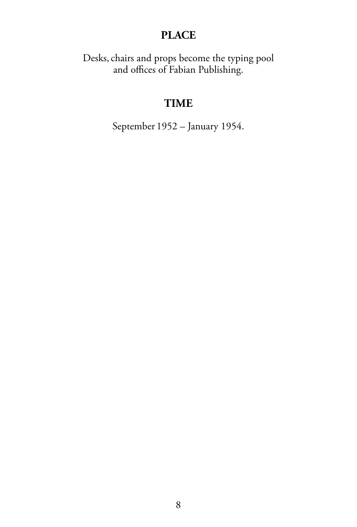### **PLACE**

Desks, chairs and props become the typing pool and offices of Fabian Publishing.

### **TIME**

September 1952 – January 1954.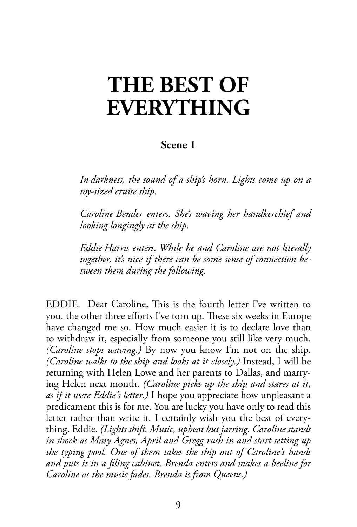# **THE BEST OF EVERYTHING**

#### **Scene 1**

*In darkness, the sound of a ship's horn. Lights come up on a toy-sized cruise ship.*

*Caroline Bender enters. She's waving her handkerchief and looking longingly at the ship.*

*Eddie Harris enters. While he and Caroline are not literally together, it's nice if there can be some sense of connection between them during the following.*

EDDIE. Dear Caroline, This is the fourth letter I've written to you, the other three efforts I've torn up. These six weeks in Europe have changed me so. How much easier it is to declare love than to withdraw it, especially from someone you still like very much. *(Caroline stops waving.)* By now you know I'm not on the ship. *(Caroline walks to the ship and looks at it closely.)* Instead, I will be returning with Helen Lowe and her parents to Dallas, and marrying Helen next month. *(Caroline picks up the ship and stares at it, as if it were Eddie's letter.)* I hope you appreciate how unpleasant a predicament this is for me. You are lucky you have only to read this letter rather than write it. I certainly wish you the best of everything. Eddie. *(Lights shift. Music, upbeat but jarring. Caroline stands in shock as Mary Agnes, April and Gregg rush in and start setting up the typing pool. One of them takes the ship out of Caroline's hands and puts it in a filing cabinet. Brenda enters and makes a beeline for Caroline as the music fades. Brenda is from Queens.)*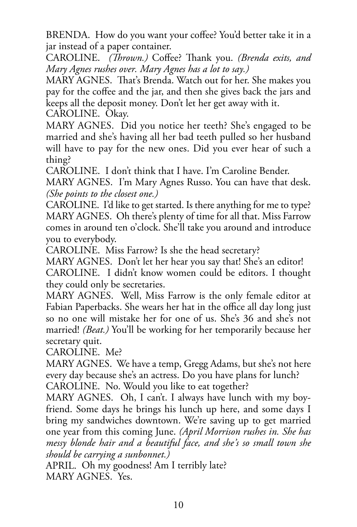BRENDA. How do you want your coffee? You'd better take it in a jar instead of a paper container.

CAROLINE. *(Thrown.)* Coffee? Thank you. *(Brenda exits, and Mary Agnes rushes over. Mary Agnes has a lot to say.)*

MARY AGNES. That's Brenda. Watch out for her. She makes you pay for the coffee and the jar, and then she gives back the jars and keeps all the deposit money. Don't let her get away with it.

CAROLINE. Okay.

MARY AGNES. Did you notice her teeth? She's engaged to be married and she's having all her bad teeth pulled so her husband will have to pay for the new ones. Did you ever hear of such a thing?

CAROLINE. I don't think that I have. I'm Caroline Bender.

MARY AGNES. I'm Mary Agnes Russo. You can have that desk. *(She points to the closest one.)*

CAROLINE. I'd like to get started. Is there anything for me to type? MARY AGNES. Oh there's plenty of time for all that. Miss Farrow comes in around ten o'clock. She'll take you around and introduce you to everybody.

CAROLINE. Miss Farrow? Is she the head secretary?

MARY AGNES. Don't let her hear you say that! She's an editor!

CAROLINE. I didn't know women could be editors. I thought they could only be secretaries.

MARY AGNES. Well, Miss Farrow is the only female editor at Fabian Paperbacks. She wears her hat in the office all day long just so no one will mistake her for one of us. She's 36 and she's not married! *(Beat.)* You'll be working for her temporarily because her secretary quit.

CAROLINE. Me?

MARY AGNES. We have a temp, Gregg Adams, but she's not here every day because she's an actress. Do you have plans for lunch? CAROLINE. No. Would you like to eat together?

MARY AGNES. Oh, I can't. I always have lunch with my boyfriend. Some days he brings his lunch up here, and some days I bring my sandwiches downtown. We're saving up to get married one year from this coming June. *(April Morrison rushes in. She has messy blonde hair and a beautiful face, and she's so small town she should be carrying a sunbonnet.)*

APRIL. Oh my goodness! Am I terribly late? MARY AGNES. Yes.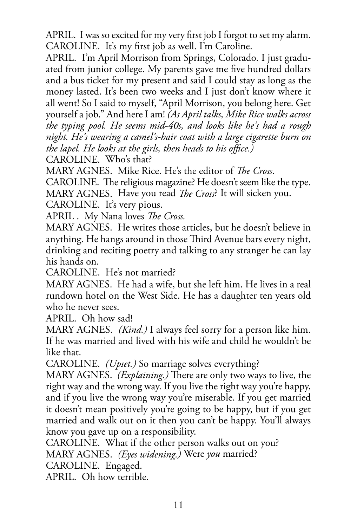APRIL. I was so excited for my very first job I forgot to set my alarm. CAROLINE. It's my first job as well. I'm Caroline.

APRIL. I'm April Morrison from Springs, Colorado. I just graduated from junior college. My parents gave me five hundred dollars and a bus ticket for my present and said I could stay as long as the money lasted. It's been two weeks and I just don't know where it all went! So I said to myself, "April Morrison, you belong here. Get yourself a job." And here I am! *(As April talks, Mike Rice walks across the typing pool. He seems mid-40s, and looks like he's had a rough night. He's wearing a camel's-hair coat with a large cigarette burn on the lapel. He looks at the girls, then heads to his office.)*

CAROLINE. Who's that?

MARY AGNES. Mike Rice. He's the editor of *The Cross*.

CAROLINE. The religious magazine? He doesn't seem like the type.

MARY AGNES. Have you read *The Cross*? It will sicken you.

CAROLINE. It's very pious.

APRIL . My Nana loves *The Cross.*

MARY AGNES. He writes those articles, but he doesn't believe in anything. He hangs around in those Third Avenue bars every night, drinking and reciting poetry and talking to any stranger he can lay his hands on.

CAROLINE. He's not married?

MARY AGNES. He had a wife, but she left him. He lives in a real rundown hotel on the West Side. He has a daughter ten years old who he never sees.

APRIL. Oh how sad!

MARY AGNES. *(Kind.)* I always feel sorry for a person like him. If he was married and lived with his wife and child he wouldn't be like that.

CAROLINE. *(Upset.)* So marriage solves everything?

MARY AGNES. *(Explaining.)* There are only two ways to live, the right way and the wrong way. If you live the right way you're happy, and if you live the wrong way you're miserable. If you get married it doesn't mean positively you're going to be happy, but if you get married and walk out on it then you can't be happy. You'll always know you gave up on a responsibility.

CAROLINE. What if the other person walks out on you? MARY AGNES. *(Eyes widening.)* Were *you* married?

CAROLINE. Engaged.

APRIL. Oh how terrible.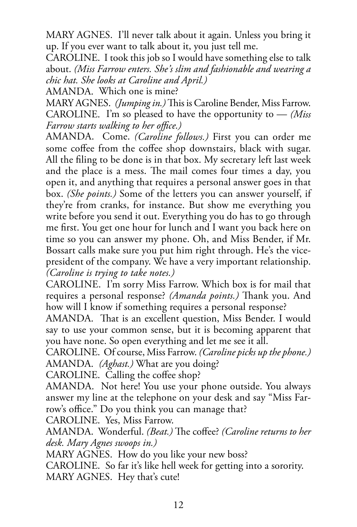MARY AGNES. I'll never talk about it again. Unless you bring it up. If you ever want to talk about it, you just tell me.

CAROLINE. I took this job so I would have something else to talk about. *(Miss Farrow enters. She's slim and fashionable and wearing a chic hat. She looks at Caroline and April.)*

AMANDA. Which one is mine?

MARY AGNES. *(Jumping in.)* This is Caroline Bender, Miss Farrow. CAROLINE. I'm so pleased to have the opportunity to — *(Miss Farrow starts walking to her office.)*

AMANDA. Come. *(Caroline follows.)* First you can order me some coffee from the coffee shop downstairs, black with sugar. All the filing to be done is in that box. My secretary left last week and the place is a mess. The mail comes four times a day, you open it, and anything that requires a personal answer goes in that box. *(She points.)* Some of the letters you can answer yourself, if they're from cranks, for instance. But show me everything you write before you send it out. Everything you do has to go through me first. You get one hour for lunch and I want you back here on time so you can answer my phone. Oh, and Miss Bender, if Mr. Bossart calls make sure you put him right through. He's the vicepresident of the company. We have a very important relationship. *(Caroline is trying to take notes.)*

CAROLINE. I'm sorry Miss Farrow. Which box is for mail that requires a personal response? *(Amanda points.)* Thank you. And how will I know if something requires a personal response?

AMANDA. That is an excellent question, Miss Bender. I would say to use your common sense, but it is becoming apparent that you have none. So open everything and let me see it all.

CAROLINE. Of course, Miss Farrow. *(Caroline picks up the phone.)* AMANDA. *(Aghast.)* What are you doing?

CAROLINE. Calling the coffee shop?

AMANDA. Not here! You use your phone outside. You always answer my line at the telephone on your desk and say "Miss Farrow's office." Do you think you can manage that?

CAROLINE. Yes, Miss Farrow.

AMANDA. Wonderful. *(Beat.)* The coffee? *(Caroline returns to her desk. Mary Agnes swoops in.)*

MARY AGNES. How do you like your new boss?

CAROLINE. So far it's like hell week for getting into a sorority. MARY AGNES. Hey that's cute!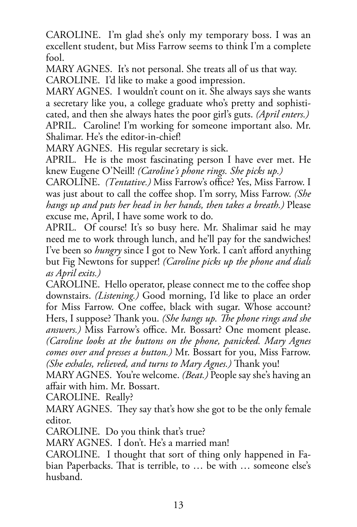CAROLINE. I'm glad she's only my temporary boss. I was an excellent student, but Miss Farrow seems to think I'm a complete fool.

MARY AGNES. It's not personal. She treats all of us that way. CAROLINE. I'd like to make a good impression.

MARY AGNES. I wouldn't count on it. She always says she wants a secretary like you, a college graduate who's pretty and sophisticated, and then she always hates the poor girl's guts. *(April enters.)* APRIL. Caroline! I'm working for someone important also. Mr. Shalimar. He's the editor-in-chief!

MARY AGNES. His regular secretary is sick.

APRIL. He is the most fascinating person I have ever met. He knew Eugene O'Neill! *(Caroline's phone rings. She picks up.)*

CAROLINE. *(Tentative.)* Miss Farrow's office? Yes, Miss Farrow. I was just about to call the coffee shop. I'm sorry, Miss Farrow. *(She hangs up and puts her head in her hands, then takes a breath.)* Please excuse me, April, I have some work to do.

APRIL. Of course! It's so busy here. Mr. Shalimar said he may need me to work through lunch, and he'll pay for the sandwiches! I've been so *hungry* since I got to New York. I can't afford anything but Fig Newtons for supper! *(Caroline picks up the phone and dials as April exits.)*

CAROLINE. Hello operator, please connect me to the coffee shop downstairs. *(Listening.)* Good morning, I'd like to place an order for Miss Farrow. One coffee, black with sugar. Whose account? Hers, I suppose? Thank you. *(She hangs up. The phone rings and she answers.)* Miss Farrow's office. Mr. Bossart? One moment please. *(Caroline looks at the buttons on the phone, panicked. Mary Agnes comes over and presses a button.)* Mr. Bossart for you, Miss Farrow. *(She exhales, relieved, and turns to Mary Agnes.)* Thank you!

MARY AGNES. You're welcome. *(Beat.)* People say she's having an affair with him. Mr. Bossart.

CAROLINE. Really?

MARY AGNES. They say that's how she got to be the only female editor.

CAROLINE. Do you think that's true?

MARY AGNES. I don't. He's a married man!

CAROLINE. I thought that sort of thing only happened in Fabian Paperbacks. That is terrible, to … be with … someone else's husband.